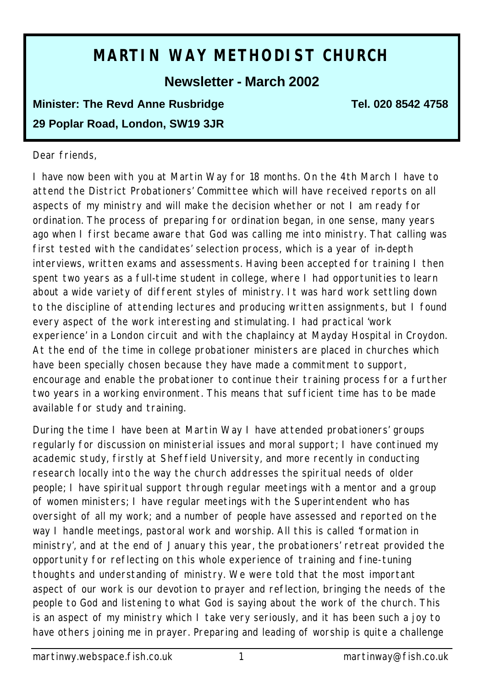# **MARTIN WAY METHODIST CHURCH**

**Newsletter - March 2002**

# **Minister: The Revd Anne Rusbridge Tel. 020 8542 4758 29 Poplar Road, London, SW19 3JR**

#### Dear friends,

I have now been with you at Martin Way for 18 months. On the 4th March I have to attend the District Probationers' Committee which will have received reports on all aspects of my ministry and will make the decision whether or not I am ready for ordination. The process of preparing for ordination began, in one sense, many years ago when I first became aware that God was calling me into ministry. That calling was first tested with the candidates' selection process, which is a year of in-depth interviews, written exams and assessments. Having been accepted for training I then spent two years as a full-time student in college, where I had opportunities to learn about a wide variety of different styles of ministry. It was hard work settling down to the discipline of attending lectures and producing written assignments, but I found every aspect of the work interesting and stimulating. I had practical 'work experience' in a London circuit and with the chaplaincy at Mayday Hospital in Croydon. At the end of the time in college probationer ministers are placed in churches which have been specially chosen because they have made a commitment to support, encourage and enable the probationer to continue their training process for a further two years in a working environment. This means that sufficient time has to be made available for study and training.

During the time I have been at Martin Way I have attended probationers' groups regularly for discussion on ministerial issues and moral support; I have continued my academic study, firstly at Sheffield University, and more recently in conducting research locally into the way the church addresses the spiritual needs of older people; I have spiritual support through regular meetings with a mentor and a group of women ministers; I have regular meetings with the Superintendent who has oversight of all my work; and a number of people have assessed and reported on the way I handle meetings, pastoral work and worship. All this is called 'formation in ministry', and at the end of January this year, the probationers' retreat provided the opportunity for reflecting on this whole experience of training and fine-tuning thoughts and understanding of ministry. We were told that the most important aspect of our work is our devotion to prayer and reflection, bringing the needs of the people to God and listening to what God is saying about the work of the church. This is an aspect of my ministry which I take very seriously, and it has been such a joy to have others joining me in prayer. Preparing and leading of worship is quite a challenge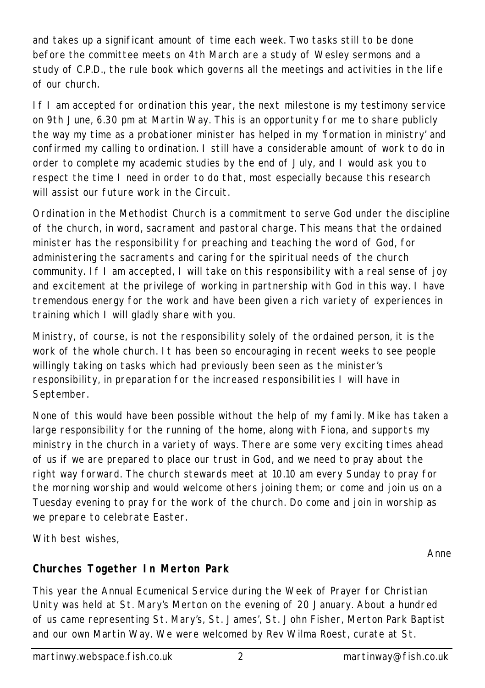and takes up a significant amount of time each week. Two tasks still to be done before the committee meets on 4th March are a study of Wesley sermons and a study of C.P.D., the rule book which governs all the meetings and activities in the life of our church.

If I am accepted for ordination this year, the next milestone is my testimony service on 9th June, 6.30 pm at Martin Way. This is an opportunity for me to share publicly the way my time as a probationer minister has helped in my 'formation in ministry' and confirmed my calling to ordination. I still have a considerable amount of work to do in order to complete my academic studies by the end of July, and I would ask you to respect the time I need in order to do that, most especially because this research will assist our future work in the Circuit.

Ordination in the Methodist Church is a commitment to serve God under the discipline of the church, in word, sacrament and pastoral charge. This means that the ordained minister has the responsibility for preaching and teaching the word of God, for administering the sacraments and caring for the spiritual needs of the church community. If I am accepted, I will take on this responsibility with a real sense of joy and excitement at the privilege of working in partnership with God in this way. I have tremendous energy for the work and have been given a rich variety of experiences in training which I will gladly share with you.

Ministry, of course, is not the responsibility solely of the ordained person, it is the work of the whole church. It has been so encouraging in recent weeks to see people willingly taking on tasks which had previously been seen as the minister's responsibility, in preparation for the increased responsibilities I will have in September.

None of this would have been possible without the help of my fami ly. Mike has taken a large responsibility for the running of the home, along with Fiona, and supports my ministry in the church in a variety of ways. There are some very exciting times ahead of us if we are prepared to place our trust in God, and we need to pray about the right way forward. The church stewards meet at 10.10 am every Sunday to pray for the morning worship and would welcome others joining them; or come and join us on a Tuesday evening to pray for the work of the church. Do come and join in worship as we prepare to celebrate Easter.

With best wishes,

*Anne*

# **Churches Together In Merton Park**

This year the Annual Ecumenical Service during the Week of Prayer for Christian Unity was held at St. Mary's Merton on the evening of 20 January. About a hundred of us came representing St. Mary's, St. James', St. John Fisher, Merton Park Baptist and our own Martin Way. We were welcomed by Rev Wilma Roest, curate at St.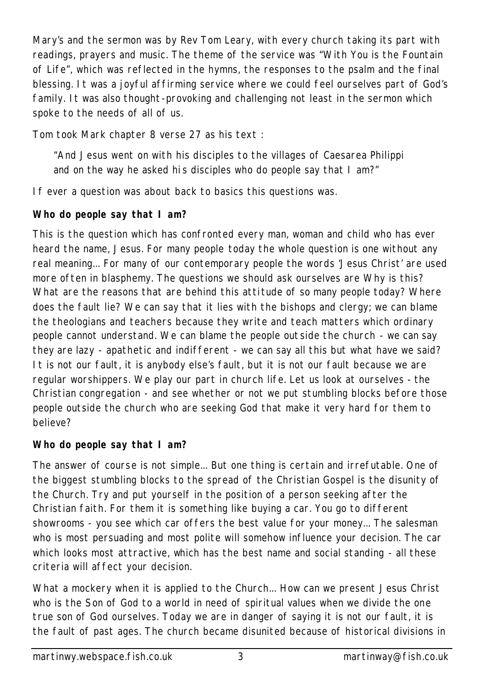Mary's and the sermon was by Rev Tom Leary, with every church taking its part with readings, prayers and music. The theme of the service was "With You is the Fountain of Life", which was reflected in the hymns, the responses to the psalm and the final blessing. It was a joyful affirming service where we could feel ourselves part of God's family. It was also thought-provoking and challenging not least in the sermon which spoke to the needs of all of us.

Tom took Mark chapter 8 verse 27 as his text :

"And Jesus went on with his disciples to the villages of Caesarea Philippi and on the way he asked his disciples who do people say that I am?"

If ever a question was about back to basics this questions was.

# *Who do people say that I am?*

This is the question which has confronted every man, woman and child who has ever heard the name, Jesus. For many people today the whole question is one without any real meaning... For many of our contemporary people the words 'Jesus Christ' are used more often in blasphemy. The questions we should ask ourselves are Why is this? What are the reasons that are behind this attitude of so many people today? Where does the fault lie? We can say that it lies with the bishops and clergy; we can blame the theologians and teachers because they write and teach matters which ordinary people cannot understand. We can blame the people outside the church - we can say they are lazy - apathetic and indifferent - we can say all this but what have we said? It is not our fault, it is anybody else's fault, but it is not our fault because we are regular worshippers. We play our part in church life. Let us look at ourselves - the Christian congregation - and see whether or not we put stumbling blocks before those people outside the church who are seeking God that make it very hard for them to believe?

# *Who do people say that I am?*

The answer of course is not simple... But one thing is certain and irrefutable. One of the biggest stumbling blocks to the spread of the Christian Gospel is the disunity of the Church. Try and put yourself in the position of a person seeking after the Christian faith. For them it is something like buying a car. You go to different showrooms - you see which car offers the best value for your money... The salesman who is most persuading and most polite will somehow influence your decision. The car which looks most attractive, which has the best name and social standing - all these criteria will affect your decision.

What a mockery when it is applied to the Church... How can we present Jesus Christ who is the Son of God to a world in need of spiritual values when we divide the one true son of God ourselves. Today we are in danger of saying it is not our fault, it is the fault of past ages. The church became disunited because of historical divisions in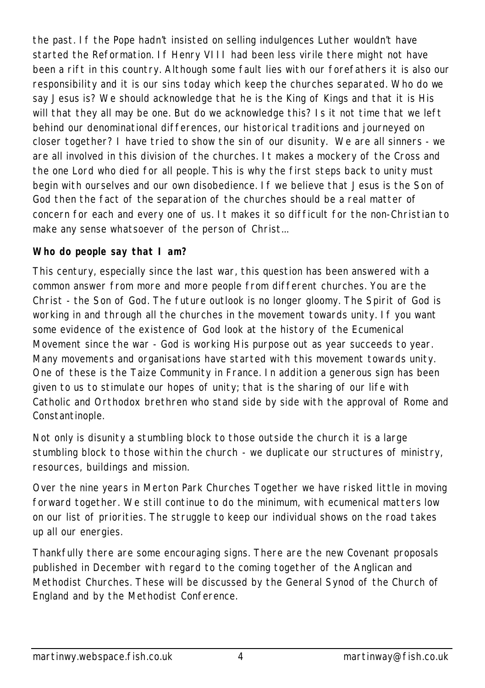the past. If the Pope hadn't insisted on selling indulgences Luther wouldn't have started the Reformation. If Henry VIII had been less virile there might not have been a rift in this country. Although some fault lies with our forefathers it is also our responsibility and it is our sins today which keep the churches separated. Who do we say Jesus is? We should acknowledge that he is the King of Kings and that it is His will that they all may be one. But do we acknowledge this? Is it not time that we left behind our denominational differences, our historical traditions and journeyed on closer together? I have tried to show the sin of our disunity. We are all sinners - we are all involved in this division of the churches. It makes a mockery of the Cross and the one Lord who died for all people. This is why the first steps back to unity must begin with ourselves and our own disobedience. If we believe that Jesus is the Son of God then the fact of the separation of the churches should be a real matter of concern for each and every one of us. It makes it so difficult for the non-Christian to make any sense whatsoever of the person of Christ...

## *Who do people say that I am?*

This century, especially since the last war, this question has been answered with a common answer from more and more people from different churches. You are the Christ - the Son of God. The future outlook is no longer gloomy. The Spirit of God is working in and through all the churches in the movement towards unity. If you want some evidence of the existence of God look at the history of the Ecumenical Movement since the war - God is working His purpose out as year succeeds to year. Many movements and organisations have started with this movement towards unity. One of these is the Taize Community in France. In addition a generous sign has been given to us to stimulate our hopes of unity; that is the sharing of our life with Catholic and Orthodox brethren who stand side by side with the approval of Rome and Constantinople.

Not only is disunity a stumbling block to those outside the church it is a large stumbling block to those within the church - we duplicate our structures of ministry, resources, buildings and mission.

Over the nine years in Merton Park Churches Together we have risked little in moving forward together. We still continue to do the minimum, with ecumenical matters low on our list of priorities. The struggle to keep our individual shows on the road takes up all our energies.

Thankfully there are some encouraging signs. There are the new Covenant proposals published in December with regard to the coming together of the Anglican and Methodist Churches. These will be discussed by the General Synod of the Church of England and by the Methodist Conference.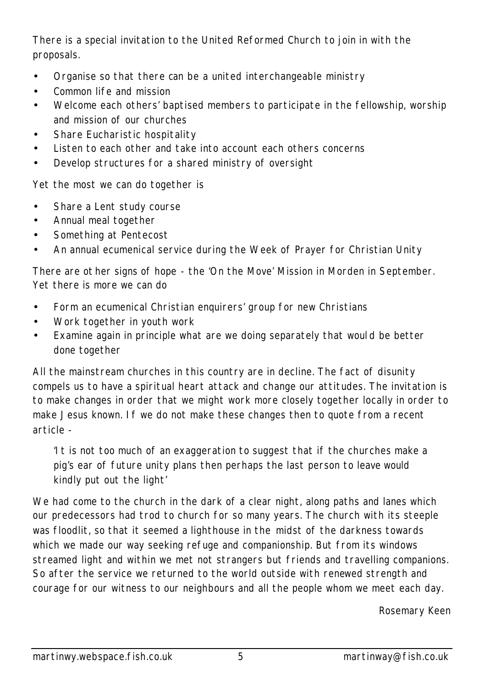There is a special invitation to the United Reformed Church to join in with the proposals.

- Organise so that there can be a united interchangeable ministry
- Common life and mission
- Welcome each others' baptised members to participate in the fellowship, worship and mission of our churches
- Share Eucharistic hospitality
- Listen to each other and take into account each others concerns
- Develop structures for a shared ministry of oversight

Yet the most we can do together is

- Share a Lent study course
- Annual meal together
- Something at Pentecost
- An annual ecumenical service during the Week of Prayer for Christian Unity

There are ot her signs of hope - the 'On the Move' Mission in Morden in September. Yet there is more we can do

- Form an ecumenical Christian enquirers' group for new Christians
- Work together in youth work
- Examine again in principle what are we doing separately that woul d be better done together

All the mainstream churches in this country are in decline. The fact of disunity compels us to have a spiritual heart attack and change our attitudes. The invitation is to make changes in order that we might work more closely together locally in order to make Jesus known. If we do not make these changes then to quote from a recent article -

'It is not too much of an exaggeration to suggest that if the churches make a pig's ear of future unity plans then perhaps the last person to leave would kindly put out the light'

We had come to the church in the dark of a clear night, along paths and lanes which our predecessors had trod to church for so many years. The church with its steeple was floodlit, so that it seemed a lighthouse in the midst of the darkness towards which we made our way seeking refuge and companionship. But from its windows streamed light and within we met not strangers but friends and travelling companions. So after the service we returned to the world outside with renewed strength and courage for our witness to our neighbours and all the people whom we meet each day.

*Rosemary Keen*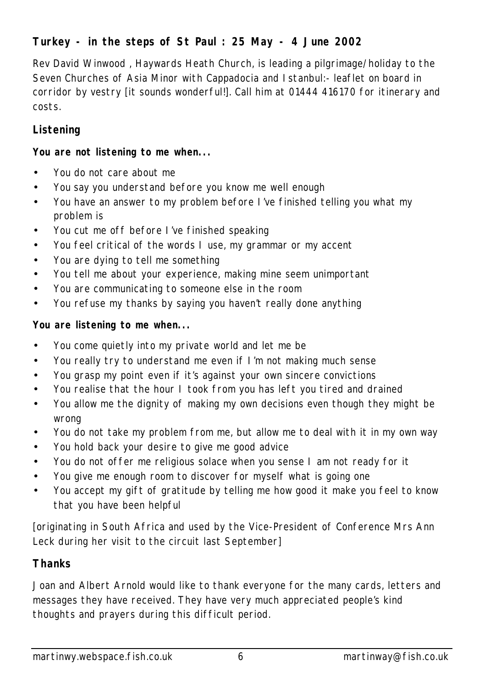# **Turkey - in the steps of St Paul : 25 May - 4 June 2002**

Rev David Winwood , Haywards Heath Church, is leading a pilgrimage/holiday to the Seven Churches of Asia Minor with Cappadocia and Istanbul:- leaflet on board in corridor by vestry [it sounds wonderful!]. Call him at 01444 416170 for itinerary and costs.

# **Listening**

#### **You are not listening to me when...**

- You do not care about me
- You say you understand before you know me well enough
- You have an answer to my problem before I've finished telling you what my problem is
- You cut me off before I've finished speaking
- You feel critical of the words I use, my grammar or my accent
- You are dying to tell me something
- You tell me about your experience, making mine seem unimportant
- You are communicating to someone else in the room
- You refuse my thanks by saying you haven't really done anything

## **You are listening to me when...**

- You come quietly into my private world and let me be
- You really try to understand me even if I'm not making much sense
- You grasp my point even if it's against your own sincere convictions
- You realise that the hour I took from you has left you tired and drained
- You allow me the dignity of making my own decisions even though they might be wrong
- You do not take my problem from me, but allow me to deal with it in my own way
- You hold back your desire to give me good advice
- You do not offer me religious solace when you sense I am not ready for it
- You give me enough room to discover for myself what is going one
- You accept my gift of gratitude by telling me how good it make you feel to know that you have been helpful

[originating in South Africa and used by the Vice-President of Conference Mrs Ann Leck during her visit to the circuit last September]

## **Thanks**

Joan and Albert Arnold would like to thank everyone for the many cards, letters and messages they have received. They have very much appreciated people's kind thoughts and prayers during this difficult period.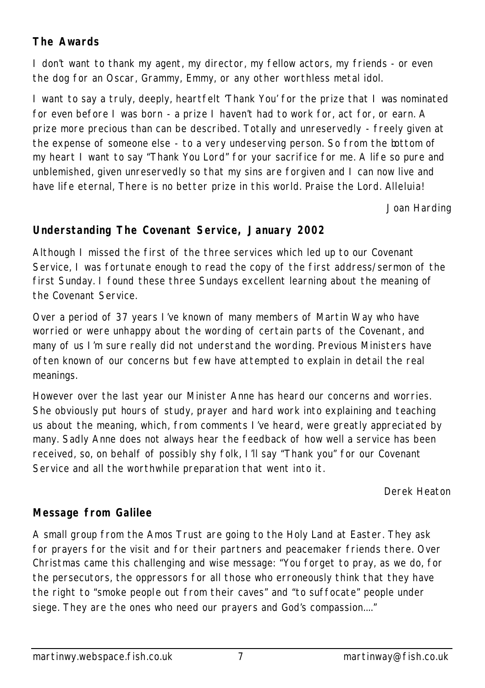# **The Awards**

I don't want to thank my agent, my director, my fellow actors, my friends - or even the dog for an Oscar, Grammy, Emmy, or any other worthless metal idol.

I want to say a truly, deeply, heartfelt 'Thank You' for the prize that I was nominated for even before I was born - a prize I haven't had to work for, act for, or earn. A prize more precious than can be described. Totally and unreservedly - freely given at the expense of someone else - to a very undeserving person. So from the bottom of my heart I want to say "Thank You Lord" for your sacrifice for me. A life so pure and unblemished, given unreservedly so that my sins are forgiven and I can now live and have life eternal, There is no better prize in this world. Praise the Lord. Alleluia!

*Joan Harding*

# **Understanding The Covenant Service, January 2002**

Although I missed the first of the three services which led up to our Covenant Service, I was fortunate enough to read the copy of the first address/sermon of the first Sunday. I found these three Sundays excellent learning about the meaning of the Covenant Service.

Over a period of 37 years I've known of many members of Martin Way who have worried or were unhappy about the wording of certain parts of the Covenant, and many of us I'm sure really did not understand the wording. Previous Ministers have often known of our concerns but few have attempted to explain in detail the real meanings.

However over the last year our Minister Anne has heard our concerns and worries. She obviously put hours of study, prayer and hard work into explaining and teaching us about the meaning, which, from comments I've heard, were greatly appreciated by many. Sadly Anne does not always hear the feedback of how well a service has been received, so, on behalf of possibly shy folk, I'll say "Thank you" for our Covenant Service and all the worthwhile preparation that went into it.

*Derek Heaton*

# **Message from Galilee**

A small group from the Amos Trust are going to the Holy Land at Easter. They ask for prayers for the visit and for their partners and peacemaker friends there. Over Christmas came this challenging and wise message: "You forget to pray, as we do, for the persecutors, the oppressors for all those who erroneously think that they have the right to "smoke people out from their caves" and "to suffocate" people under siege. They are the ones who need our prayers and God's compassion...."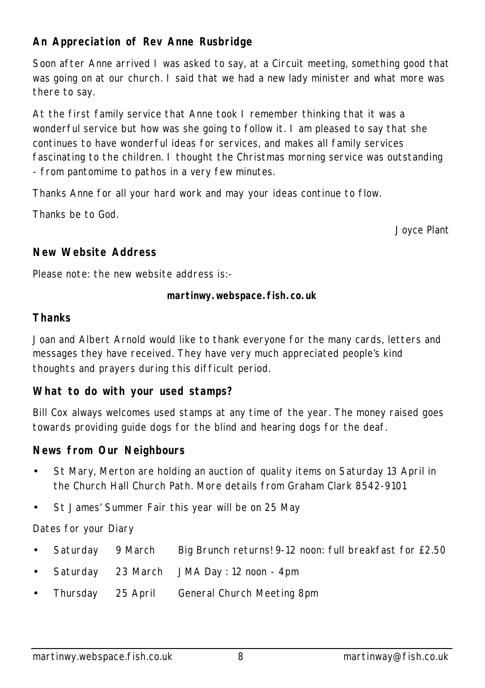# **An Appreciation of Rev Anne Rusbridge**

Soon after Anne arrived I was asked to say, at a Circuit meeting, something good that was going on at our church. I said that we had a new lady minister and what more was there to say.

At the first family service that Anne took I remember thinking that it was a wonderful service but how was she going to follow it. I am pleased to say that she continues to have wonderful ideas for services, and makes all family services fascinating to the children. I thought the Christmas morning service was outstanding - from pantomime to pathos in a very few minutes.

Thanks Anne for all your hard work and may your ideas continue to flow.

Thanks be to God.

*Joyce Plant*

## **New Website Address**

Please note: the new website address is:-

#### **martinwy.webspace.fish.co.uk**

#### **Thanks**

Joan and Albert Arnold would like to thank everyone for the many cards, letters and messages they have received. They have very much appreciated people's kind thoughts and prayers during this difficult period.

#### **What to do with your used stamps?**

Bill Cox always welcomes used stamps at any time of the year. The money raised goes towards providing guide dogs for the blind and hearing dogs for the deaf.

#### **News from Our Neighbours**

- St Mary, Merton are holding an auction of quality items on Saturday 13 April in the Church Hall Church Path. More details from Graham Clark 8542-9101
- St James' Summer Fair this year will be on 25 May

Dates for your Diary

- Saturday 9 March Big Brunch returns! 9-12 noon: full breakfast for £2.50
- Saturday 23 March JMA Day: 12 noon 4pm
- Thursday 25 April General Church Meeting 8pm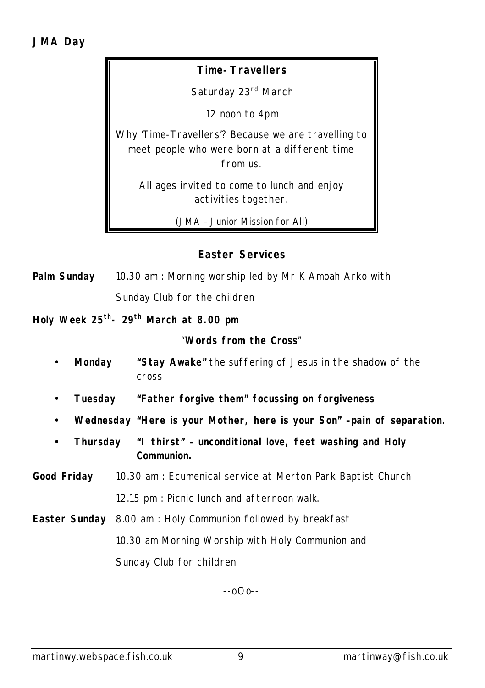## **Time-Travellers**

Saturday 23rd March

12 noon to 4pm

Why 'Time-Travellers'? Because we are travelling to meet people who were born at a different time from us.

All ages invited to come to lunch and enjoy activities together.

*(JMA – Junior Mission for All)*

## **Easter Services**

**Palm Sunday** 10.30 am : Morning worship led by Mr K Amoah Arko with Sunday Club for the children

**Holy Week 25th- 29th March at 8.00 pm**

"**Words from the Cross**"

- **Monday "Stay Awake"** the suffering of Jesus in the shadow of the cross
- **Tuesday "Father forgive them" focussing on forgiveness**
- **Wednesday "Here is your Mother, here is your Son" –pain of separation.**
- **Thursday "I thirst" unconditional love, feet washing and Holy Communion.**
- **Good Friday** 10.30 am : Ecumenical service at Merton Park Baptist Church 12.15 pm : Picnic lunch and afternoon walk.
- **Easter Sunday** 8.00 am : Holy Communion followed by breakfast 10.30 am Morning Worship with Holy Communion and Sunday Club for children

--oOo--